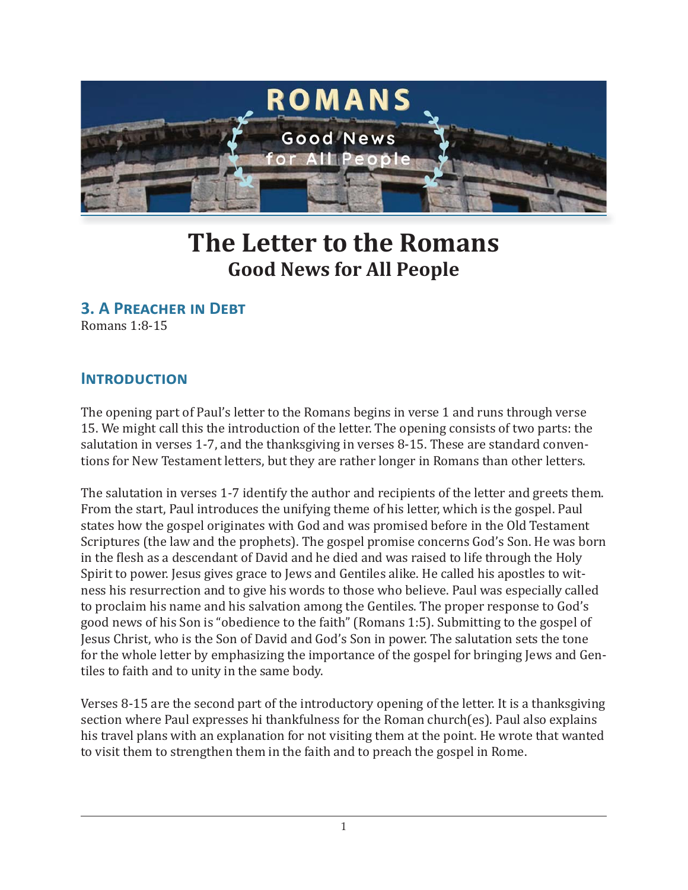

# **The Letter to the Romans Good News for All People**

**3. A PREACHER IN DEBT** 

Romans 1:8-15

## **INTRODUCTION**

The opening part of Paul's letter to the Romans begins in verse 1 and runs through verse 15. We might call this the introduction of the letter. The opening consists of two parts: the salutation in verses 1-7, and the thanksgiving in verses 8-15. These are standard conventions for New Testament letters, but they are rather longer in Romans than other letters.

The salutation in verses 1-7 identify the author and recipients of the letter and greets them. From the start, Paul introduces the unifying theme of his letter, which is the gospel. Paul states how the gospel originates with God and was promised before in the Old Testament Scriptures (the law and the prophets). The gospel promise concerns God's Son. He was born in the flesh as a descendant of David and he died and was raised to life through the Holy Spirit to power. Jesus gives grace to Jews and Gentiles alike. He called his apostles to witness his resurrection and to give his words to those who believe. Paul was especially called to proclaim his name and his salvation among the Gentiles. The proper response to God's good news of his Son is "obedience to the faith" (Romans 1:5). Submitting to the gospel of Jesus Christ, who is the Son of David and God's Son in power. The salutation sets the tone for the whole letter by emphasizing the importance of the gospel for bringing Jews and Gentiles to faith and to unity in the same body.

Verses 8-15 are the second part of the introductory opening of the letter. It is a thanksgiving section where Paul expresses hi thankfulness for the Roman church(es). Paul also explains his travel plans with an explanation for not visiting them at the point. He wrote that wanted to visit them to strengthen them in the faith and to preach the gospel in Rome.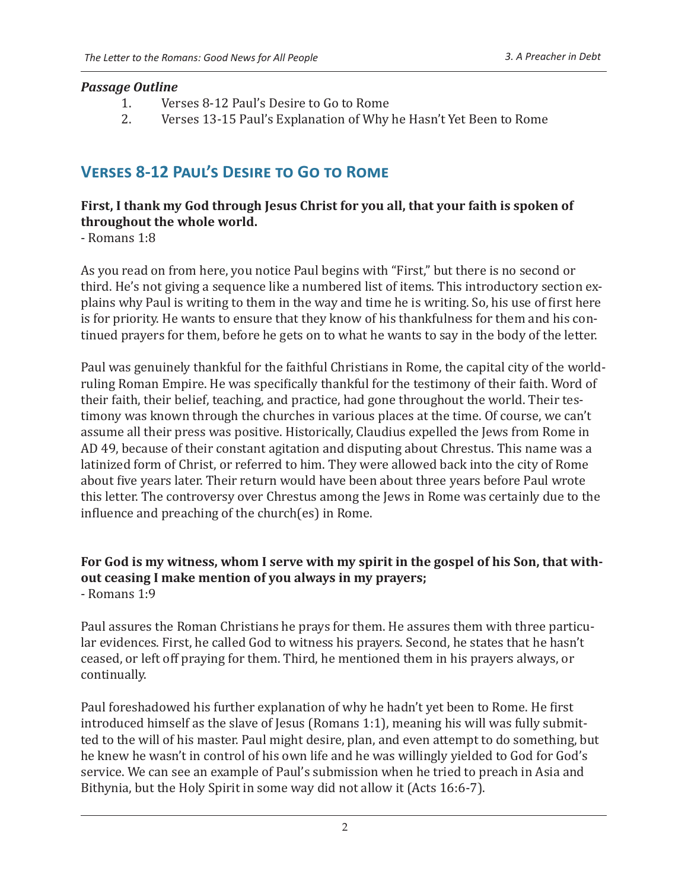#### *Passage Outline*

- 1. Verses 8-12 Paul's Desire to Go to Rome
- 2. Verses 13-15 Paul's Explanation of Why he Hasn't Yet Been to Rome

# **VERSES 8-12 PAUL'S DESIRE TO GO TO ROME**

#### **First, I thank my God through Jesus Christ for you all, that your faith is spoken of throughout the whole world.**

- Romans 1:8

As you read on from here, you notice Paul begins with "First," but there is no second or third. He's not giving a sequence like a numbered list of items. This introductory section explains why Paul is writing to them in the way and time he is writing. So, his use of first here is for priority. He wants to ensure that they know of his thankfulness for them and his continued prayers for them, before he gets on to what he wants to say in the body of the letter.

Paul was genuinely thankful for the faithful Christians in Rome, the capital city of the worldruling Roman Empire. He was specifically thankful for the testimony of their faith. Word of their faith, their belief, teaching, and practice, had gone throughout the world. Their testimony was known through the churches in various places at the time. Of course, we can't assume all their press was positive. Historically, Claudius expelled the Jews from Rome in AD 49, because of their constant agitation and disputing about Chrestus. This name was a latinized form of Christ, or referred to him. They were allowed back into the city of Rome about five years later. Their return would have been about three years before Paul wrote this letter. The controversy over Chrestus among the Jews in Rome was certainly due to the influence and preaching of the church(es) in Rome.

#### **For God is my witness, whom I serve with my spirit in the gospel of his Son, that without ceasing I make mention of you always in my prayers;** - Romans 1:9

Paul assures the Roman Christians he prays for them. He assures them with three particular evidences. First, he called God to witness his prayers. Second, he states that he hasn't ceased, or left off praying for them. Third, he mentioned them in his prayers always, or continually.

Paul foreshadowed his further explanation of why he hadn't yet been to Rome. He first introduced himself as the slave of Jesus (Romans 1:1), meaning his will was fully submitted to the will of his master. Paul might desire, plan, and even attempt to do something, but he knew he wasn't in control of his own life and he was willingly yielded to God for God's service. We can see an example of Paul's submission when he tried to preach in Asia and Bithynia, but the Holy Spirit in some way did not allow it (Acts 16:6-7).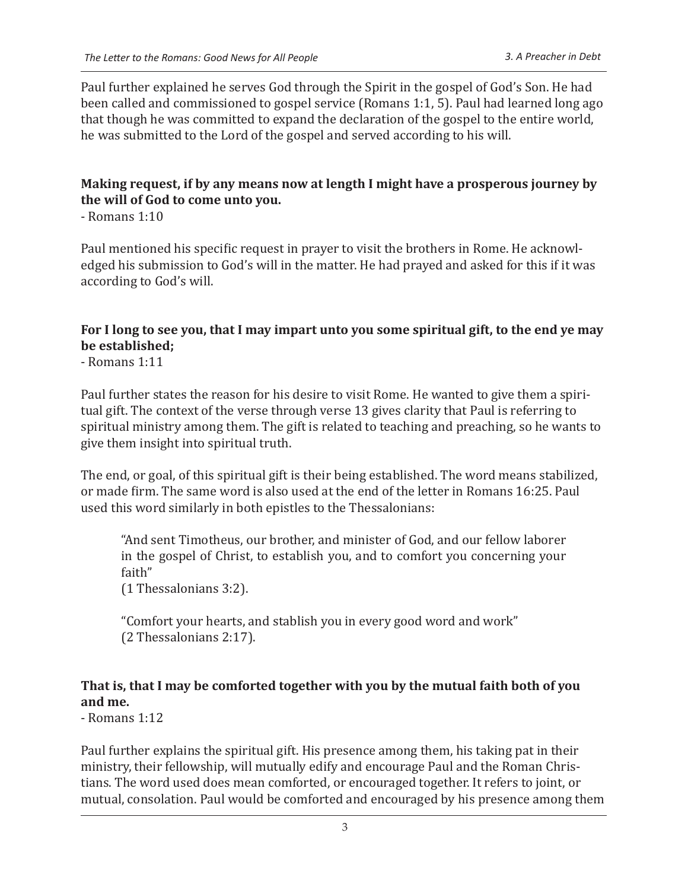Paul further explained he serves God through the Spirit in the gospel of God's Son. He had been called and commissioned to gospel service (Romans 1:1, 5). Paul had learned long ago that though he was committed to expand the declaration of the gospel to the entire world, he was submitted to the Lord of the gospel and served according to his will.

#### **Making request, if by any means now at length I might have a prosperous journey by the will of God to come unto you.**

- Romans 1:10

Paul mentioned his specific request in prayer to visit the brothers in Rome. He acknowledged his submission to God's will in the matter. He had prayed and asked for this if it was according to God's will.

#### **For I long to see you, that I may impart unto you some spiritual gift, to the end ye may be established;**

- Romans 1:11

Paul further states the reason for his desire to visit Rome. He wanted to give them a spiritual gift. The context of the verse through verse 13 gives clarity that Paul is referring to spiritual ministry among them. The gift is related to teaching and preaching, so he wants to give them insight into spiritual truth.

The end, or goal, of this spiritual gift is their being established. The word means stabilized, or made firm. The same word is also used at the end of the letter in Romans 16:25. Paul used this word similarly in both epistles to the Thessalonians:

"And sent Timotheus, our brother, and minister of God, and our fellow laborer in the gospel of Christ, to establish you, and to comfort you concerning your faith"

(1 Thessalonians 3:2).

"Comfort your hearts, and stablish you in every good word and work" (2 Thessalonians 2:17).

## **That is, that I may be comforted together with you by the mutual faith both of you and me.**

- Romans 1:12

Paul further explains the spiritual gift. His presence among them, his taking pat in their ministry, their fellowship, will mutually edify and encourage Paul and the Roman Christians. The word used does mean comforted, or encouraged together. It refers to joint, or mutual, consolation. Paul would be comforted and encouraged by his presence among them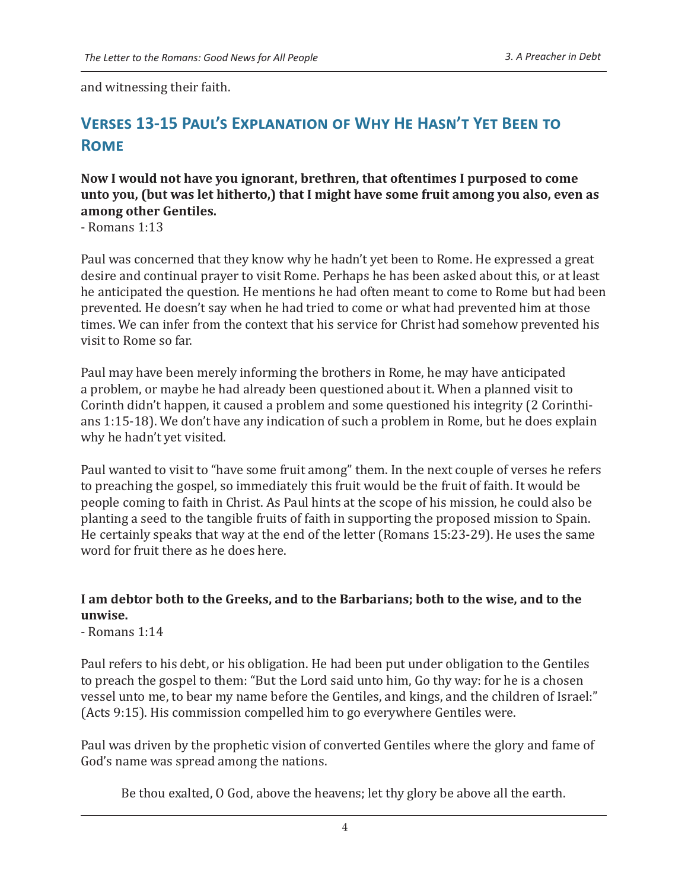and witnessing their faith.

# **VERSES 13-15 PAUL'S EXPLANATION OF WHY HE HASN'T YET BEEN TO ROMF**

#### **Now I would not have you ignorant, brethren, that oftentimes I purposed to come unto you, (but was let hitherto,) that I might have some fruit among you also, even as among other Gentiles.**

- Romans 1:13

Paul was concerned that they know why he hadn't yet been to Rome. He expressed a great desire and continual prayer to visit Rome. Perhaps he has been asked about this, or at least he anticipated the question. He mentions he had often meant to come to Rome but had been prevented. He doesn't say when he had tried to come or what had prevented him at those times. We can infer from the context that his service for Christ had somehow prevented his visit to Rome so far.

Paul may have been merely informing the brothers in Rome, he may have anticipated a problem, or maybe he had already been questioned about it. When a planned visit to Corinth didn't happen, it caused a problem and some questioned his integrity (2 Corinthians 1:15-18). We don't have any indication of such a problem in Rome, but he does explain why he hadn't yet visited.

Paul wanted to visit to "have some fruit among" them. In the next couple of verses he refers to preaching the gospel, so immediately this fruit would be the fruit of faith. It would be people coming to faith in Christ. As Paul hints at the scope of his mission, he could also be planting a seed to the tangible fruits of faith in supporting the proposed mission to Spain. He certainly speaks that way at the end of the letter (Romans 15:23-29). He uses the same word for fruit there as he does here.

### **I am debtor both to the Greeks, and to the Barbarians; both to the wise, and to the unwise.**

- Romans 1:14

Paul refers to his debt, or his obligation. He had been put under obligation to the Gentiles to preach the gospel to them: "But the Lord said unto him, Go thy way: for he is a chosen vessel unto me, to bear my name before the Gentiles, and kings, and the children of Israel:" (Acts 9:15). His commission compelled him to go everywhere Gentiles were.

Paul was driven by the prophetic vision of converted Gentiles where the glory and fame of God's name was spread among the nations.

Be thou exalted, O God, above the heavens; let thy glory be above all the earth.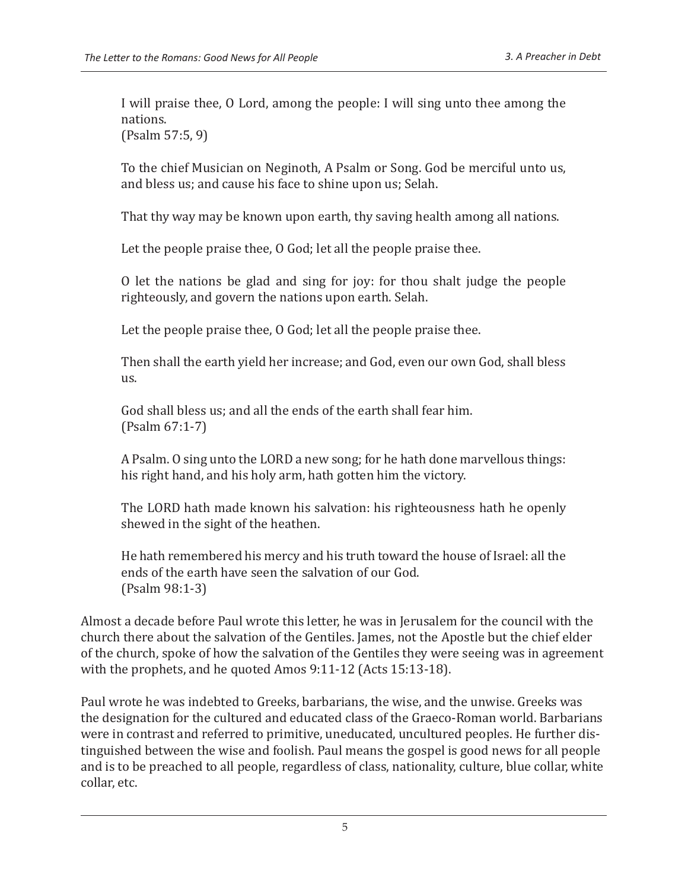I will praise thee, O Lord, among the people: I will sing unto thee among the nations.

(Psalm 57:5, 9)

To the chief Musician on Neginoth, A Psalm or Song. God be merciful unto us, and bless us; and cause his face to shine upon us; Selah.

That thy way may be known upon earth, thy saving health among all nations.

Let the people praise thee, O God; let all the people praise thee.

O let the nations be glad and sing for joy: for thou shalt judge the people righteously, and govern the nations upon earth. Selah.

Let the people praise thee, O God; let all the people praise thee.

Then shall the earth yield her increase; and God, even our own God, shall bless us.

God shall bless us; and all the ends of the earth shall fear him. (Psalm 67:1-7)

A Psalm. O sing unto the LORD a new song; for he hath done marvellous things: his right hand, and his holy arm, hath gotten him the victory.

The LORD hath made known his salvation: his righteousness hath he openly shewed in the sight of the heathen.

He hath remembered his mercy and his truth toward the house of Israel: all the ends of the earth have seen the salvation of our God. (Psalm 98:1-3)

Almost a decade before Paul wrote this letter, he was in Jerusalem for the council with the church there about the salvation of the Gentiles. James, not the Apostle but the chief elder of the church, spoke of how the salvation of the Gentiles they were seeing was in agreement with the prophets, and he quoted Amos 9:11-12 (Acts 15:13-18).

Paul wrote he was indebted to Greeks, barbarians, the wise, and the unwise. Greeks was the designation for the cultured and educated class of the Graeco-Roman world. Barbarians were in contrast and referred to primitive, uneducated, uncultured peoples. He further distinguished between the wise and foolish. Paul means the gospel is good news for all people and is to be preached to all people, regardless of class, nationality, culture, blue collar, white collar, etc.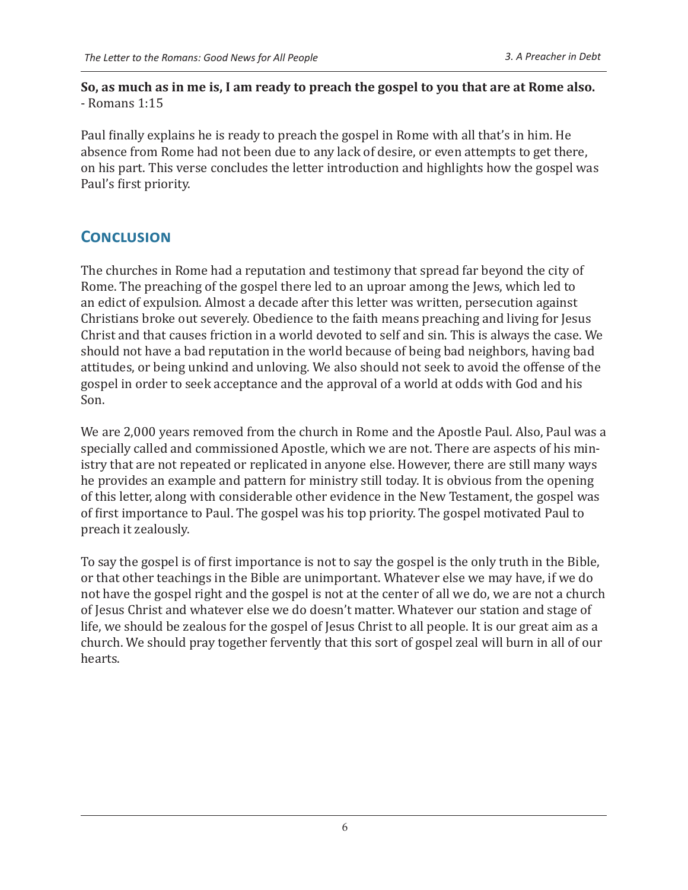So, as much as in me is, I am ready to preach the gospel to you that are at Rome also. - Romans  $1:15$ 

Paul finally explains he is ready to preach the gospel in Rome with all that's in him. He absence from Rome had not been due to any lack of desire, or even attempts to get there, on his part. This verse concludes the letter introduction and highlights how the gospel was Paul's first priority.

# **CONCLUSION**

The churches in Rome had a reputation and testimony that spread far beyond the city of Rome. The preaching of the gospel there led to an uproar among the Jews, which led to an edict of expulsion. Almost a decade after this letter was written, persecution against Christians broke out severely. Obedience to the faith means preaching and living for Jesus Christ and that causes friction in a world devoted to self and sin. This is always the case. We should not have a bad reputation in the world because of being bad neighbors, having bad attitudes, or being unkind and unloving. We also should not seek to avoid the offense of the gospel in order to seek acceptance and the approval of a world at odds with God and his Son.

We are 2,000 years removed from the church in Rome and the Apostle Paul. Also, Paul was a specially called and commissioned Apostle, which we are not. There are aspects of his ministry that are not repeated or replicated in anyone else. However, there are still many ways he provides an example and pattern for ministry still today. It is obvious from the opening of this letter, along with considerable other evidence in the New Testament, the gospel was of first importance to Paul. The gospel was his top priority. The gospel motivated Paul to preach it zealously.

To say the gospel is of first importance is not to say the gospel is the only truth in the Bible, or that other teachings in the Bible are unimportant. Whatever else we may have, if we do not have the gospel right and the gospel is not at the center of all we do, we are not a church of Jesus Christ and whatever else we do doesn't matter. Whatever our station and stage of life, we should be zealous for the gospel of Jesus Christ to all people. It is our great aim as a church. We should pray together fervently that this sort of gospel zeal will burn in all of our hearts.